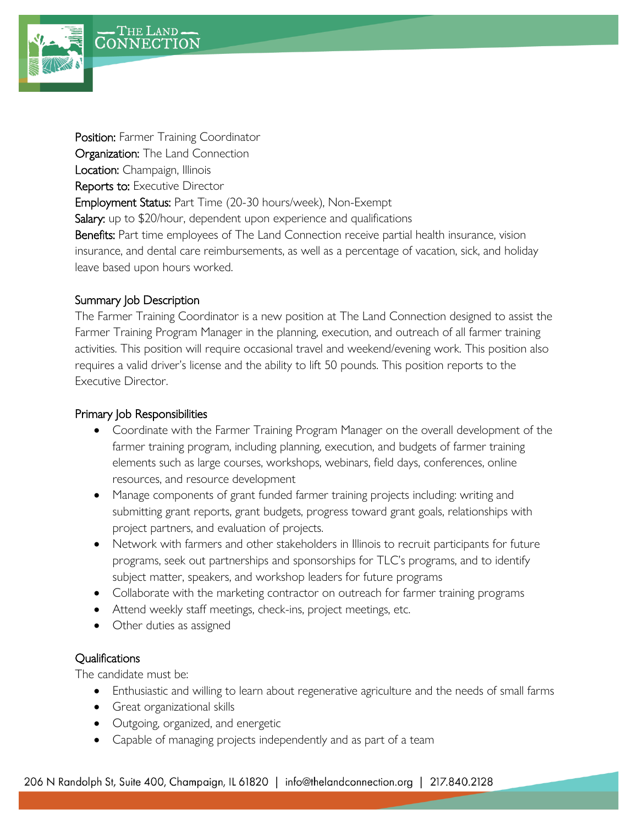

Position: Farmer Training Coordinator Organization: The Land Connection Location: Champaign, Illinois Reports to: Executive Director Employment Status: Part Time (20-30 hours/week), Non-Exempt Salary: up to \$20/hour, dependent upon experience and qualifications Benefits: Part time employees of The Land Connection receive partial health insurance, vision insurance, and dental care reimbursements, as well as a percentage of vacation, sick, and holiday leave based upon hours worked.

## Summary Job Description

The Farmer Training Coordinator is a new position at The Land Connection designed to assist the Farmer Training Program Manager in the planning, execution, and outreach of all farmer training activities. This position will require occasional travel and weekend/evening work. This position also requires a valid driver's license and the ability to lift 50 pounds. This position reports to the Executive Director.

## Primary Job Responsibilities

- Coordinate with the Farmer Training Program Manager on the overall development of the farmer training program, including planning, execution, and budgets of farmer training elements such as large courses, workshops, webinars, field days, conferences, online resources, and resource development
- Manage components of grant funded farmer training projects including: writing and submitting grant reports, grant budgets, progress toward grant goals, relationships with project partners, and evaluation of projects.
- Network with farmers and other stakeholders in Illinois to recruit participants for future programs, seek out partnerships and sponsorships for TLC's programs, and to identify subject matter, speakers, and workshop leaders for future programs
- Collaborate with the marketing contractor on outreach for farmer training programs
- Attend weekly staff meetings, check-ins, project meetings, etc.
- Other duties as assigned

## **Qualifications**

The candidate must be:

- Enthusiastic and willing to learn about regenerative agriculture and the needs of small farms
- Great organizational skills
- Outgoing, organized, and energetic
- Capable of managing projects independently and as part of a team